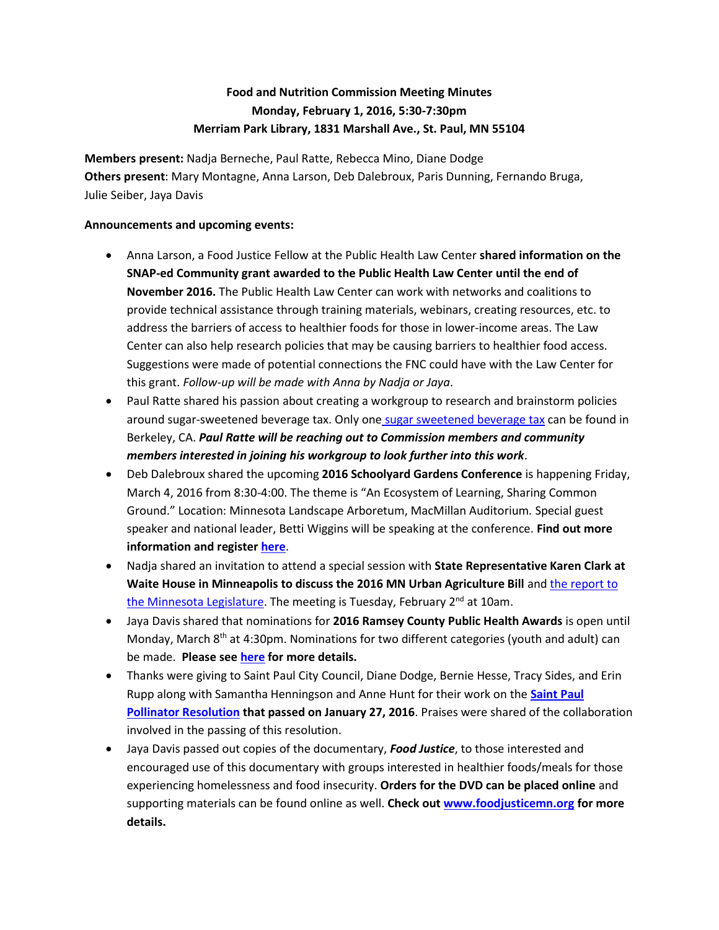## **Food and Nutrition Commission Meeting Minutes Monday, February 1, 2016, 5:30-7:30pm Merriam Park Library, 1831 Marshall Ave., St. Paul, MN 55104**

**Members present:** Nadja Berneche, Paul Ratte, Rebecca Mino, Diane Dodge **Others present**: Mary Montagne, Anna Larson, Deb Dalebroux, Paris Dunning, Fernando Bruga, Julie Seiber, Jaya Davis

## **Announcements and upcoming events:**

- Anna Larson, a Food Justice Fellow at the Public Health Law Center **shared information on the SNAP-ed Community grant awarded to the Public Health Law Center until the end of November 2016.** The Public Health Law Center can work with networks and coalitions to provide technical assistance through training materials, webinars, creating resources, etc. to address the barriers of access to healthier foods for those in lower-income areas. The Law Center can also help research policies that may be causing barriers to healthier food access. Suggestions were made of potential connections the FNC could have with the Law Center for this grant. *Follow-up will be made with Anna by Nadja or Jaya*.
- Paul Ratte shared his passion about creating a workgroup to research and brainstorm policies around sugar-sweetened beverage tax. Only one [sugar sweetened beverage tax](https://www.cityofberkeley.info/uploadedFiles/Clerk/Elections/Sugar%20Sweeetened%20Beverage%20Tax%20%20-%20Full%20Text.pdf) can be found in Berkeley, CA. *Paul Ratte will be reaching out to Commission members and community members interested in joining his workgroup to look further into this work*.
- Deb Dalebroux shared the upcoming **2016 Schoolyard Gardens Conference** is happening Friday, March 4, 2016 from 8:30-4:00. The theme is "An Ecosystem of Learning, Sharing Common Ground." Location: Minnesota Landscape Arboretum, MacMillan Auditorium*.* Special guest speaker and national leader, Betti Wiggins will be speaking at the conference. **Find out more information and register [here](http://www.arboretum.umn.edu/schoolyards2016.aspx)**.
- Nadja shared an invitation to attend a special session with **State Representative Karen Clark at Waite House in Minneapolis to discuss the 2016 MN Urban Agriculture Bill** an[d the report to](http://www.mda.state.mn.us/news/~/media/Files/news/govrelations/legrpt-urbanag2016.pdf)  [the Minnesota Legislature.](http://www.mda.state.mn.us/news/~/media/Files/news/govrelations/legrpt-urbanag2016.pdf) The meeting is Tuesday, February 2<sup>nd</sup> at 10am.
- Jaya Davis shared that nominations for **2016 Ramsey County Public Health Awards** is open until Monday, March  $8<sup>th</sup>$  at 4:30pm. Nominations for two different categories (youth and adult) can be made. **Please se[e here](https://www.ramseycounty.us/your-government/departments/health-and-wellness/public-health/ramsey-county-public-health-awards) for more details.**
- Thanks were giving to Saint Paul City Council, Diane Dodge, Bernie Hesse, Tracy Sides, and Erin Rupp along with Samantha Henningson and Anne Hunt for their work on the **[Saint Paul](http://stpaul.granicus.com/MediaPlayer.php?view_id=37&clip_id=2920)  [Pollinator Resolution](http://stpaul.granicus.com/MediaPlayer.php?view_id=37&clip_id=2920) that passed on January 27, 2016**. Praises were shared of the collaboration involved in the passing of this resolution.
- Jaya Davis passed out copies of the documentary, *Food Justice*, to those interested and encouraged use of this documentary with groups interested in healthier foods/meals for those experiencing homelessness and food insecurity. **Orders for the DVD can be placed online** and supporting materials can be found online as well. **Check out [www.foodjusticemn.org](http://www.foodjusticemn.org/) for more details.**